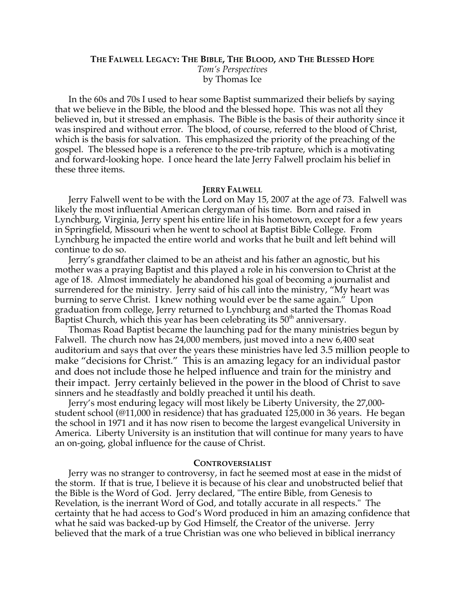# **THE FALWELL LEGACY: THE BIBLE, THE BLOOD, AND THE BLESSED HOPE** *Tom's Perspectives*

by Thomas Ice

In the 60s and 70s I used to hear some Baptist summarized their beliefs by saying that we believe in the Bible, the blood and the blessed hope. This was not all they believed in, but it stressed an emphasis. The Bible is the basis of their authority since it was inspired and without error. The blood, of course, referred to the blood of Christ, which is the basis for salvation. This emphasized the priority of the preaching of the gospel. The blessed hope is a reference to the pre-trib rapture, which is a motivating and forward-looking hope. I once heard the late Jerry Falwell proclaim his belief in these three items.

## **JERRY FALWELL**

Jerry Falwell went to be with the Lord on May 15, 2007 at the age of 73. Falwell was likely the most influential American clergyman of his time. Born and raised in Lynchburg, Virginia, Jerry spent his entire life in his hometown, except for a few years in Springfield, Missouri when he went to school at Baptist Bible College. From Lynchburg he impacted the entire world and works that he built and left behind will continue to do so.

Jerry's grandfather claimed to be an atheist and his father an agnostic, but his mother was a praying Baptist and this played a role in his conversion to Christ at the age of 18. Almost immediately he abandoned his goal of becoming a journalist and surrendered for the ministry. Jerry said of his call into the ministry, "My heart was burning to serve Christ. I knew nothing would ever be the same again." Upon graduation from college, Jerry returned to Lynchburg and started the Thomas Road Baptist Church, which this year has been celebrating its  $50<sup>th</sup>$  anniversary.

Thomas Road Baptist became the launching pad for the many ministries begun by Falwell. The church now has 24,000 members, just moved into a new 6,400 seat auditorium and says that over the years these ministries have led 3.5 million people to make "decisions for Christ." This is an amazing legacy for an individual pastor and does not include those he helped influence and train for the ministry and their impact. Jerry certainly believed in the power in the blood of Christ to save sinners and he steadfastly and boldly preached it until his death.

Jerry's most enduring legacy will most likely be Liberty University, the 27,000 student school (@11,000 in residence) that has graduated 125,000 in 36 years. He began the school in 1971 and it has now risen to become the largest evangelical University in America. Liberty University is an institution that will continue for many years to have an on-going, global influence for the cause of Christ.

## **CONTROVERSIALIST**

Jerry was no stranger to controversy, in fact he seemed most at ease in the midst of the storm. If that is true, I believe it is because of his clear and unobstructed belief that the Bible is the Word of God. Jerry declared, "The entire Bible, from Genesis to Revelation, is the inerrant Word of God, and totally accurate in all respects." The certainty that he had access to God's Word produced in him an amazing confidence that what he said was backed-up by God Himself, the Creator of the universe. Jerry believed that the mark of a true Christian was one who believed in biblical inerrancy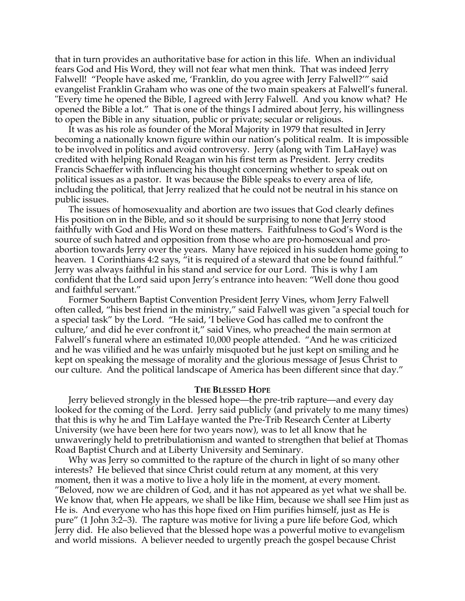that in turn provides an authoritative base for action in this life. When an individual fears God and His Word, they will not fear what men think. That was indeed Jerry Falwell! "People have asked me, 'Franklin, do you agree with Jerry Falwell?'" said evangelist Franklin Graham who was one of the two main speakers at Falwell's funeral. "Every time he opened the Bible, I agreed with Jerry Falwell. And you know what? He opened the Bible a lot." That is one of the things I admired about Jerry, his willingness to open the Bible in any situation, public or private; secular or religious.

It was as his role as founder of the Moral Majority in 1979 that resulted in Jerry becoming a nationally known figure within our nation's political realm. It is impossible to be involved in politics and avoid controversy. Jerry (along with Tim LaHaye) was credited with helping Ronald Reagan win his first term as President. Jerry credits Francis Schaeffer with influencing his thought concerning whether to speak out on political issues as a pastor. It was because the Bible speaks to every area of life, including the political, that Jerry realized that he could not be neutral in his stance on public issues.

The issues of homosexuality and abortion are two issues that God clearly defines His position on in the Bible, and so it should be surprising to none that Jerry stood faithfully with God and His Word on these matters. Faithfulness to God's Word is the source of such hatred and opposition from those who are pro-homosexual and proabortion towards Jerry over the years. Many have rejoiced in his sudden home going to heaven. 1 Corinthians 4:2 says, "it is required of a steward that one be found faithful." Jerry was always faithful in his stand and service for our Lord. This is why I am confident that the Lord said upon Jerry's entrance into heaven: "Well done thou good and faithful servant."

Former Southern Baptist Convention President Jerry Vines, whom Jerry Falwell often called, "his best friend in the ministry," said Falwell was given "a special touch for a special task" by the Lord. "He said, 'I believe God has called me to confront the culture,' and did he ever confront it," said Vines, who preached the main sermon at Falwell's funeral where an estimated 10,000 people attended. "And he was criticized and he was vilified and he was unfairly misquoted but he just kept on smiling and he kept on speaking the message of morality and the glorious message of Jesus Christ to our culture. And the political landscape of America has been different since that day."

#### **THE BLESSED HOPE**

Jerry believed strongly in the blessed hope—the pre-trib rapture—and every day looked for the coming of the Lord. Jerry said publicly (and privately to me many times) that this is why he and Tim LaHaye wanted the Pre-Trib Research Center at Liberty University (we have been here for two years now), was to let all know that he unwaveringly held to pretribulationism and wanted to strengthen that belief at Thomas Road Baptist Church and at Liberty University and Seminary.

Why was Jerry so committed to the rapture of the church in light of so many other interests? He believed that since Christ could return at any moment, at this very moment, then it was a motive to live a holy life in the moment, at every moment. "Beloved, now we are children of God, and it has not appeared as yet what we shall be. We know that, when He appears, we shall be like Him, because we shall see Him just as He is. And everyone who has this hope fixed on Him purifies himself, just as He is pure" (1 John 3:2–3). The rapture was motive for living a pure life before God, which Jerry did. He also believed that the blessed hope was a powerful motive to evangelism and world missions. A believer needed to urgently preach the gospel because Christ